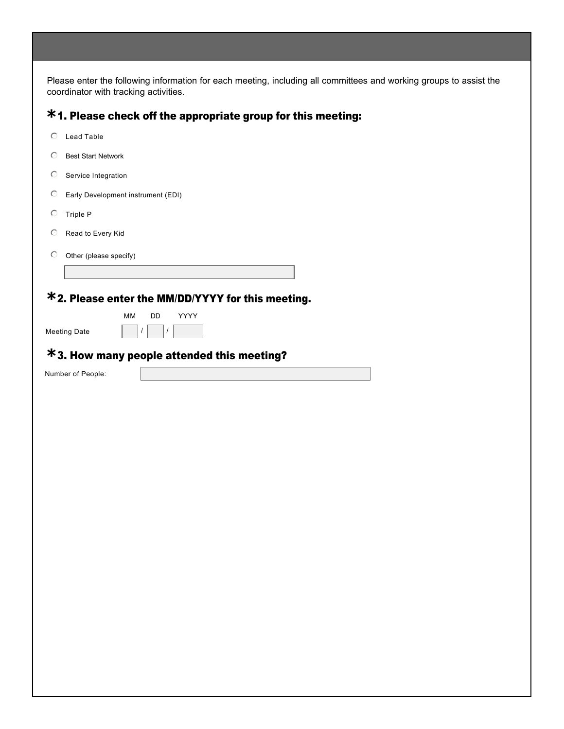Please enter the following information for each meeting, including all committees and working groups to assist the coordinator with tracking activities.

## 1. Please check off the appropriate group for this meeting: **\***

| $\circ$             | Lead Table                |                                                   |  |
|---------------------|---------------------------|---------------------------------------------------|--|
| O                   | <b>Best Start Network</b> |                                                   |  |
| $\circ$             | Service Integration       |                                                   |  |
| $\circ$             |                           | Early Development instrument (EDI)                |  |
| $\circ$             | Triple P                  |                                                   |  |
| O                   | Read to Every Kid         |                                                   |  |
| $\circ$             | Other (please specify)    |                                                   |  |
|                     |                           |                                                   |  |
|                     |                           | *2. Please enter the MM/DD/YYYY for this meeting. |  |
|                     |                           | YYYY<br><b>MM</b><br>DD                           |  |
| <b>Meeting Date</b> |                           | I<br>I                                            |  |
|                     |                           |                                                   |  |
|                     |                           | $*$ 3. How many people attended this meeting?     |  |
|                     | Number of People:         |                                                   |  |
|                     |                           |                                                   |  |
|                     |                           |                                                   |  |
|                     |                           |                                                   |  |
|                     |                           |                                                   |  |
|                     |                           |                                                   |  |
|                     |                           |                                                   |  |
|                     |                           |                                                   |  |
|                     |                           |                                                   |  |
|                     |                           |                                                   |  |
|                     |                           |                                                   |  |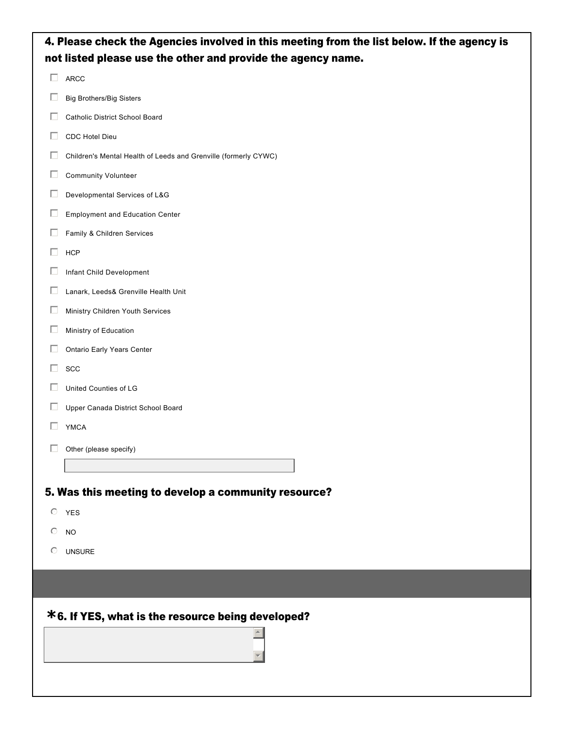| 4. Please check the Agencies involved in this meeting from the list below. If the agency is |                                                                 |  |  |  |  |
|---------------------------------------------------------------------------------------------|-----------------------------------------------------------------|--|--|--|--|
| not listed please use the other and provide the agency name.                                |                                                                 |  |  |  |  |
| П                                                                                           | ARCC                                                            |  |  |  |  |
| ப                                                                                           | <b>Big Brothers/Big Sisters</b>                                 |  |  |  |  |
| $\Box$                                                                                      | Catholic District School Board                                  |  |  |  |  |
| $\Box$                                                                                      | CDC Hotel Dieu                                                  |  |  |  |  |
| □                                                                                           | Children's Mental Health of Leeds and Grenville (formerly CYWC) |  |  |  |  |
| $\Box$                                                                                      | Community Volunteer                                             |  |  |  |  |
| □                                                                                           | Developmental Services of L&G                                   |  |  |  |  |
| $\Box$                                                                                      | <b>Employment and Education Center</b>                          |  |  |  |  |
| ப                                                                                           | Family & Children Services                                      |  |  |  |  |
|                                                                                             | <b>HCP</b>                                                      |  |  |  |  |
| □                                                                                           | Infant Child Development                                        |  |  |  |  |
| $\Box$                                                                                      | Lanark, Leeds& Grenville Health Unit                            |  |  |  |  |
| □                                                                                           | Ministry Children Youth Services                                |  |  |  |  |
| Ш                                                                                           | Ministry of Education                                           |  |  |  |  |
| $\Box$                                                                                      | Ontario Early Years Center                                      |  |  |  |  |
| ш                                                                                           | SCC                                                             |  |  |  |  |
| ш                                                                                           | United Counties of LG                                           |  |  |  |  |
| ш                                                                                           | Upper Canada District School Board                              |  |  |  |  |
|                                                                                             | <b>YMCA</b>                                                     |  |  |  |  |
| $\Box$                                                                                      | Other (please specify)                                          |  |  |  |  |
|                                                                                             |                                                                 |  |  |  |  |
|                                                                                             | 5. Was this meeting to develop a community resource?            |  |  |  |  |
|                                                                                             | $O$ YES                                                         |  |  |  |  |
| $\circ$                                                                                     | <b>NO</b>                                                       |  |  |  |  |
| $\circ$                                                                                     | <b>UNSURE</b>                                                   |  |  |  |  |
|                                                                                             |                                                                 |  |  |  |  |
|                                                                                             |                                                                 |  |  |  |  |
| *6. If YES, what is the resource being developed?                                           |                                                                 |  |  |  |  |
|                                                                                             |                                                                 |  |  |  |  |
|                                                                                             |                                                                 |  |  |  |  |
|                                                                                             |                                                                 |  |  |  |  |
|                                                                                             |                                                                 |  |  |  |  |